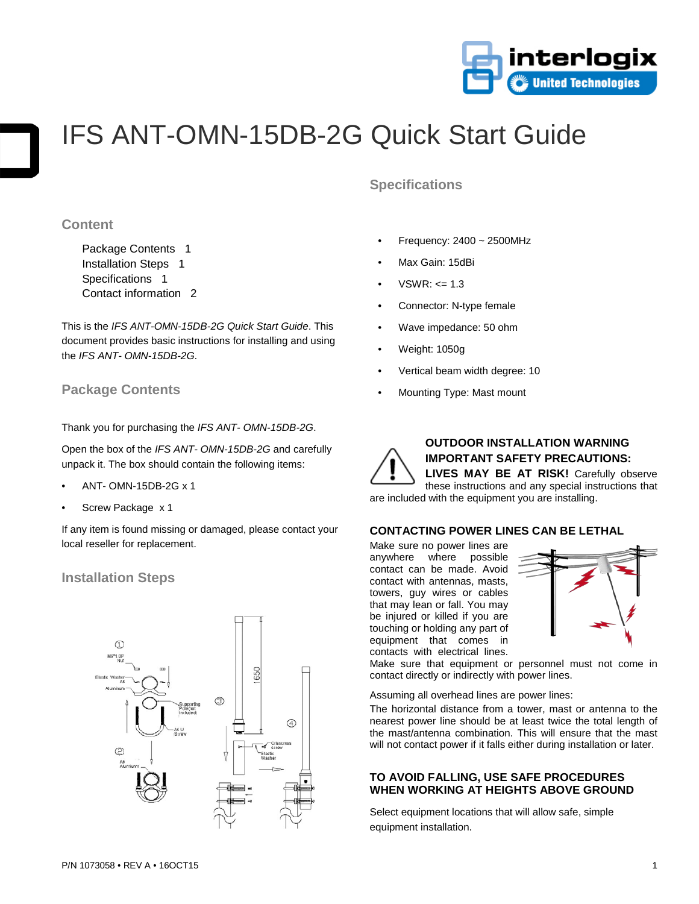

# IFS ANT-OMN-15DB-2G Quick Start Guide

## **Content**

Package Contents 1 Installation Steps 1 Specifications 1 Contact information 2

This is the *IFS ANT-OMN-15DB-2G Quick Start Guide*. This document provides basic instructions for installing and using the *IFS ANT- OMN-15DB-2G*.

## **Package Contents**

Thank you for purchasing the *IFS ANT- OMN-15DB-2G*.

Open the box of the *IFS ANT- OMN-15DB-2G* and carefully unpack it. The box should contain the following items:

- ANT- OMN-15DB-2G x 1
- Screw Package x 1

If any item is found missing or damaged, please contact your local reseller for replacement.

### **Installation Steps**



# **Specifications**

- Frequency:  $2400 \sim 2500$ MHz
- Max Gain: 15dBi
- $VSWR: \leq 1.3$
- Connector: N-type female
- Wave impedance: 50 ohm
- Weight: 1050g
- Vertical beam width degree: 10
- Mounting Type: Mast mount



## **OUTDOOR INSTALLATION WARNING IMPORTANT SAFETY PRECAUTIONS:**

**LIVES MAY BE AT RISK!** Carefully observe these instructions and any special instructions that are included with the equipment you are installing.

#### **CONTACTING POWER LINES CAN BE LETHAL**

Make sure no power lines are anywhere where possible contact can be made. Avoid contact with antennas, masts, towers, guy wires or cables that may lean or fall. You may be injured or killed if you are touching or holding any part of equipment that comes in contacts with electrical lines.



Make sure that equipment or personnel must not come in contact directly or indirectly with power lines.

Assuming all overhead lines are power lines:

The horizontal distance from a tower, mast or antenna to the nearest power line should be at least twice the total length of the mast/antenna combination. This will ensure that the mast will not contact power if it falls either during installation or later.

#### **TO AVOID FALLING, USE SAFE PROCEDURES WHEN WORKING AT HEIGHTS ABOVE GROUND**

Select equipment locations that will allow safe, simple equipment installation.